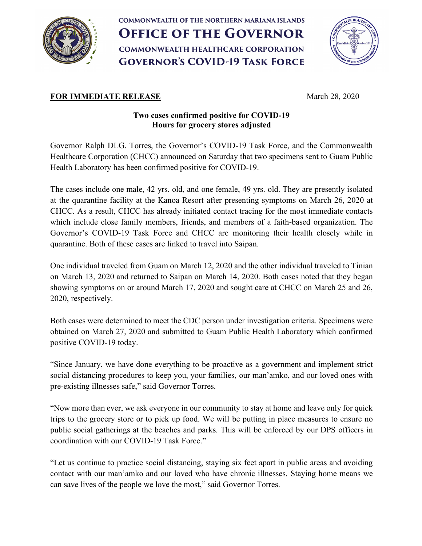

# **COMMONWEALTH OF THE NORTHERN MARIANA ISLANDS OFFICE OF THE GOVERNOR COMMONWEALTH HEALTHCARE CORPORATION GOVERNOR'S COVID-19 TASK FORCE**



## **FOR IMMEDIATE RELEASE** March 28, 2020

## **Two cases confirmed positive for COVID-19 Hours for grocery stores adjusted**

Governor Ralph DLG. Torres, the Governor's COVID-19 Task Force, and the Commonwealth Healthcare Corporation (CHCC) announced on Saturday that two specimens sent to Guam Public Health Laboratory has been confirmed positive for COVID-19.

The cases include one male, 42 yrs. old, and one female, 49 yrs. old. They are presently isolated at the quarantine facility at the Kanoa Resort after presenting symptoms on March 26, 2020 at CHCC. As a result, CHCC has already initiated contact tracing for the most immediate contacts which include close family members, friends, and members of a faith-based organization. The Governor's COVID-19 Task Force and CHCC are monitoring their health closely while in quarantine. Both of these cases are linked to travel into Saipan.

One individual traveled from Guam on March 12, 2020 and the other individual traveled to Tinian on March 13, 2020 and returned to Saipan on March 14, 2020. Both cases noted that they began showing symptoms on or around March 17, 2020 and sought care at CHCC on March 25 and 26, 2020, respectively.

Both cases were determined to meet the CDC person under investigation criteria. Specimens were obtained on March 27, 2020 and submitted to Guam Public Health Laboratory which confirmed positive COVID-19 today.

"Since January, we have done everything to be proactive as a government and implement strict social distancing procedures to keep you, your families, our man'amko, and our loved ones with pre-existing illnesses safe," said Governor Torres.

"Now more than ever, we ask everyone in our community to stay at home and leave only for quick trips to the grocery store or to pick up food. We will be putting in place measures to ensure no public social gatherings at the beaches and parks. This will be enforced by our DPS officers in coordination with our COVID-19 Task Force."

"Let us continue to practice social distancing, staying six feet apart in public areas and avoiding contact with our man'amko and our loved who have chronic illnesses. Staying home means we can save lives of the people we love the most," said Governor Torres.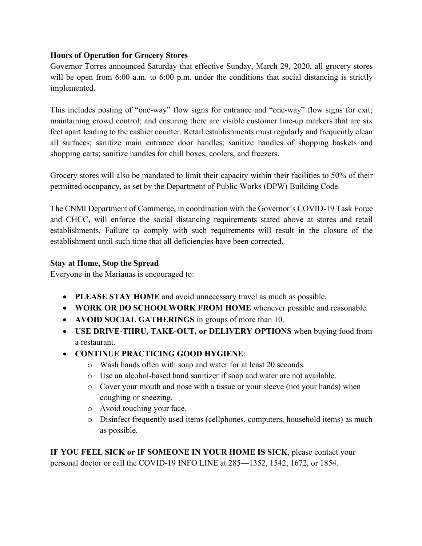### **Hours of Operation for Grocery Stores**

Governor Torres announced Saturday that effective Sunday, March 29, 2020, all grocery stores will be open from 6:00 a.m. to 6:00 p.m. under the conditions that social distancing is strictly implemented.

This includes posting of "one-way" flow signs for entrance and "one-way" flow signs for exit; maintaining crowd control; and ensuring there are visible customer line-up markers that are six feet apart leading to the cashier counter. Retail establishments must regularly and frequently clean all surfaces; sanitize main entrance door handles; sanitize handles of shopping baskets and shopping carts; sanitize handles for chill boxes, coolers, and freezers.

Grocery stores will also be mandated to limit their capacity within their facilities to 50% of their permitted occupancy, as set by the Department of Public Works (DPW) Building Code.

The CNMI Department of Commerce, in coordination with the Governor's COVID-19 Task Force and CHCC, will enforce the social distancing requirements stated above at stores and retail establishments. Failure to comply with such requirements will result in the closure of the establishment until such time that all deficiencies have been corrected.

#### **Stay at Home, Stop the Spread**

Everyone in the Marianas is encouraged to:

- **PLEASE STAY HOME** and avoid unnecessary travel as much as possible.
- **WORK OR DO SCHOOLWORK FROM HOME** whenever possible and reasonable.
- **AVOID SOCIAL GATHERINGS** in groups of more than 10.
- **USE DRIVE-THRU, TAKE-OUT, or DELIVERY OPTIONS** when buying food from a restaurant.
- **CONTINUE PRACTICING GOOD HYGIENE**:
	- o Wash hands often with soap and water for at least 20 seconds.
	- o Use an alcohol-based hand sanitizer if soap and water are not available.
	- o Cover your mouth and nose with a tissue or your sleeve (not your hands) when coughing or sneezing.
	- o Avoid touching your face.
	- o Disinfect frequently used items (cellphones, computers, household items) as much as possible.

**IF YOU FEEL SICK or IF SOMEONE IN YOUR HOME IS SICK**, please contact your personal doctor or call the COVID-19 INFO LINE at 285—1352, 1542, 1672, or 1854.